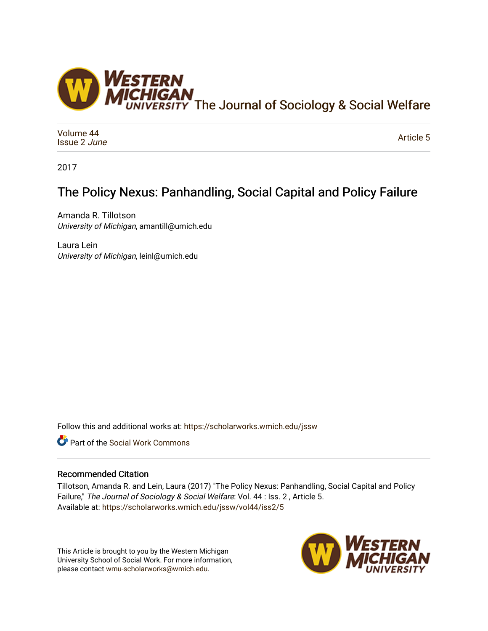

[Volume 44](https://scholarworks.wmich.edu/jssw/vol44) [Issue 2](https://scholarworks.wmich.edu/jssw/vol44/iss2) June

[Article 5](https://scholarworks.wmich.edu/jssw/vol44/iss2/5) 

2017

# The Policy Nexus: Panhandling, Social Capital and Policy Failure

Amanda R. Tillotson University of Michigan, amantill@umich.edu

Laura Lein University of Michigan, leinl@umich.edu

Follow this and additional works at: [https://scholarworks.wmich.edu/jssw](https://scholarworks.wmich.edu/jssw?utm_source=scholarworks.wmich.edu%2Fjssw%2Fvol44%2Fiss2%2F5&utm_medium=PDF&utm_campaign=PDFCoverPages) 

Part of the [Social Work Commons](http://network.bepress.com/hgg/discipline/713?utm_source=scholarworks.wmich.edu%2Fjssw%2Fvol44%2Fiss2%2F5&utm_medium=PDF&utm_campaign=PDFCoverPages)

## Recommended Citation

Tillotson, Amanda R. and Lein, Laura (2017) "The Policy Nexus: Panhandling, Social Capital and Policy Failure," The Journal of Sociology & Social Welfare: Vol. 44 : Iss. 2, Article 5. Available at: [https://scholarworks.wmich.edu/jssw/vol44/iss2/5](https://scholarworks.wmich.edu/jssw/vol44/iss2/5?utm_source=scholarworks.wmich.edu%2Fjssw%2Fvol44%2Fiss2%2F5&utm_medium=PDF&utm_campaign=PDFCoverPages)

This Article is brought to you by the Western Michigan University School of Social Work. For more information, please contact [wmu-scholarworks@wmich.edu.](mailto:wmu-scholarworks@wmich.edu)

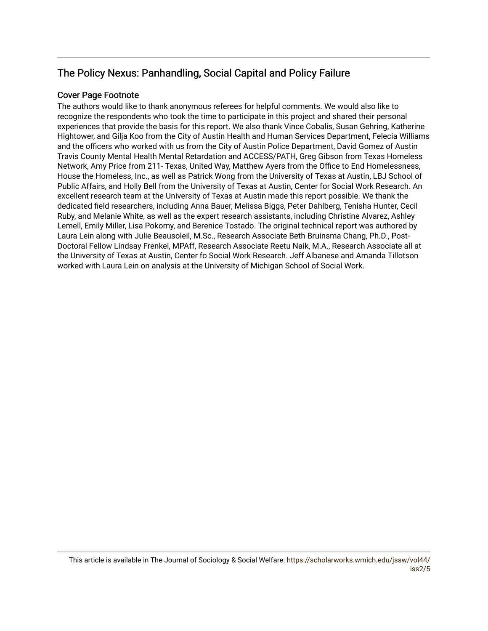# The Policy Nexus: Panhandling, Social Capital and Policy Failure

# Cover Page Footnote

The authors would like to thank anonymous referees for helpful comments. We would also like to recognize the respondents who took the time to participate in this project and shared their personal experiences that provide the basis for this report. We also thank Vince Cobalis, Susan Gehring, Katherine Hightower, and Gilja Koo from the City of Austin Health and Human Services Department, Felecia Williams and the officers who worked with us from the City of Austin Police Department, David Gomez of Austin Travis County Mental Health Mental Retardation and ACCESS/PATH, Greg Gibson from Texas Homeless Network, Amy Price from 211- Texas, United Way, Matthew Ayers from the Office to End Homelessness, House the Homeless, Inc., as well as Patrick Wong from the University of Texas at Austin, LBJ School of Public Affairs, and Holly Bell from the University of Texas at Austin, Center for Social Work Research. An excellent research team at the University of Texas at Austin made this report possible. We thank the dedicated field researchers, including Anna Bauer, Melissa Biggs, Peter Dahlberg, Tenisha Hunter, Cecil Ruby, and Melanie White, as well as the expert research assistants, including Christine Alvarez, Ashley Lemell, Emily Miller, Lisa Pokorny, and Berenice Tostado. The original technical report was authored by Laura Lein along with Julie Beausoleil, M.Sc., Research Associate Beth Bruinsma Chang, Ph.D., Post-Doctoral Fellow Lindsay Frenkel, MPAff, Research Associate Reetu Naik, M.A., Research Associate all at the University of Texas at Austin, Center fo Social Work Research. Jeff Albanese and Amanda Tillotson worked with Laura Lein on analysis at the University of Michigan School of Social Work.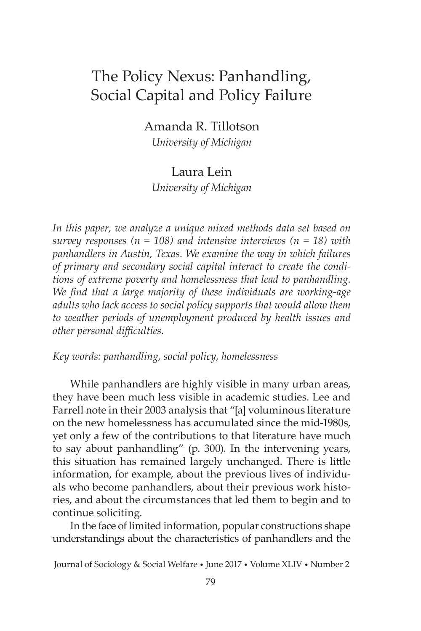# The Policy Nexus: Panhandling, Social Capital and Policy Failure

Amanda R. Tillotson

*University of Michigan*

# Laura Lein *University of Michigan*

*In this paper, we analyze a unique mixed methods data set based on survey responses (n = 108) and intensive interviews (n = 18) with panhandlers in Austin, Texas. We examine the way in which failures of primary and secondary social capital interact to create the conditions of extreme poverty and homelessness that lead to panhandling. We find that a large majority of these individuals are working-age adults who lack access to social policy supports that would allow them to weather periods of unemployment produced by health issues and other personal difficulties.*

*Key words: panhandling, social policy, homelessness*

While panhandlers are highly visible in many urban areas, they have been much less visible in academic studies. Lee and Farrell note in their 2003 analysis that "[a] voluminous literature on the new homelessness has accumulated since the mid-1980s, yet only a few of the contributions to that literature have much to say about panhandling" (p. 300). In the intervening years, this situation has remained largely unchanged. There is little information, for example, about the previous lives of individuals who become panhandlers, about their previous work histories, and about the circumstances that led them to begin and to continue soliciting.

In the face of limited information, popular constructions shape understandings about the characteristics of panhandlers and the

Journal of Sociology & Social Welfare • June 2017 • Volume XLIV • Number 2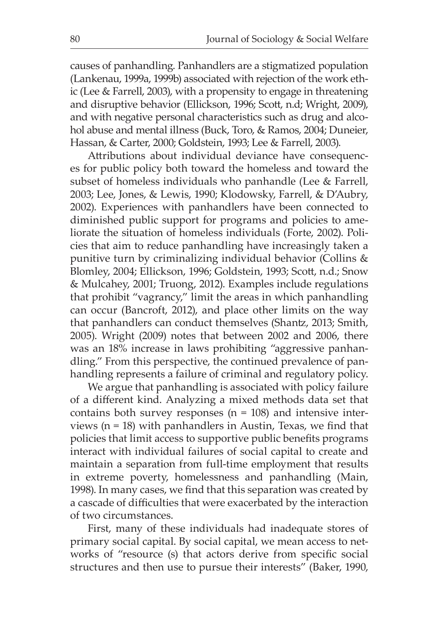causes of panhandling. Panhandlers are a stigmatized population (Lankenau, 1999a, 1999b) associated with rejection of the work ethic (Lee & Farrell, 2003), with a propensity to engage in threatening and disruptive behavior (Ellickson, 1996; Scott, n.d; Wright, 2009), and with negative personal characteristics such as drug and alcohol abuse and mental illness (Buck, Toro, & Ramos, 2004; Duneier, Hassan, & Carter, 2000; Goldstein, 1993; Lee & Farrell, 2003).

Attributions about individual deviance have consequences for public policy both toward the homeless and toward the subset of homeless individuals who panhandle (Lee & Farrell, 2003; Lee, Jones, & Lewis, 1990; Klodowsky, Farrell, & D'Aubry, 2002). Experiences with panhandlers have been connected to diminished public support for programs and policies to ameliorate the situation of homeless individuals (Forte, 2002). Policies that aim to reduce panhandling have increasingly taken a punitive turn by criminalizing individual behavior (Collins & Blomley, 2004; Ellickson, 1996; Goldstein, 1993; Scott, n.d.; Snow & Mulcahey, 2001; Truong, 2012). Examples include regulations that prohibit "vagrancy," limit the areas in which panhandling can occur (Bancroft, 2012), and place other limits on the way that panhandlers can conduct themselves (Shantz, 2013; Smith, 2005). Wright (2009) notes that between 2002 and 2006, there was an 18% increase in laws prohibiting "aggressive panhandling." From this perspective, the continued prevalence of panhandling represents a failure of criminal and regulatory policy.

We argue that panhandling is associated with policy failure of a different kind. Analyzing a mixed methods data set that contains both survey responses  $(n = 108)$  and intensive interviews (n = 18) with panhandlers in Austin, Texas, we find that policies that limit access to supportive public benefits programs interact with individual failures of social capital to create and maintain a separation from full-time employment that results in extreme poverty, homelessness and panhandling (Main, 1998). In many cases, we find that this separation was created by a cascade of difficulties that were exacerbated by the interaction of two circumstances.

First, many of these individuals had inadequate stores of primary social capital. By social capital, we mean access to networks of "resource (s) that actors derive from specific social structures and then use to pursue their interests" (Baker, 1990,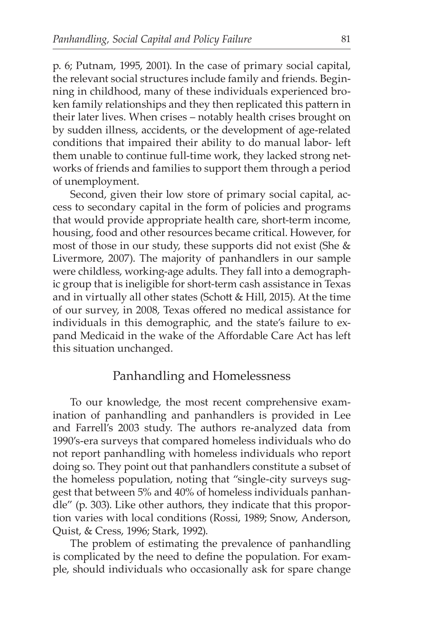p. 6; Putnam, 1995, 2001). In the case of primary social capital, the relevant social structures include family and friends. Beginning in childhood, many of these individuals experienced broken family relationships and they then replicated this pattern in their later lives. When crises – notably health crises brought on by sudden illness, accidents, or the development of age-related conditions that impaired their ability to do manual labor- left them unable to continue full-time work, they lacked strong networks of friends and families to support them through a period of unemployment.

Second, given their low store of primary social capital, access to secondary capital in the form of policies and programs that would provide appropriate health care, short-term income, housing, food and other resources became critical. However, for most of those in our study, these supports did not exist (She & Livermore, 2007). The majority of panhandlers in our sample were childless, working-age adults. They fall into a demographic group that is ineligible for short-term cash assistance in Texas and in virtually all other states (Schott & Hill, 2015). At the time of our survey, in 2008, Texas offered no medical assistance for individuals in this demographic, and the state's failure to expand Medicaid in the wake of the Affordable Care Act has left this situation unchanged.

## Panhandling and Homelessness

To our knowledge, the most recent comprehensive examination of panhandling and panhandlers is provided in Lee and Farrell's 2003 study. The authors re-analyzed data from 1990's-era surveys that compared homeless individuals who do not report panhandling with homeless individuals who report doing so. They point out that panhandlers constitute a subset of the homeless population, noting that "single-city surveys suggest that between 5% and 40% of homeless individuals panhandle" (p. 303). Like other authors, they indicate that this proportion varies with local conditions (Rossi, 1989; Snow, Anderson, Quist, & Cress, 1996; Stark, 1992).

The problem of estimating the prevalence of panhandling is complicated by the need to define the population. For example, should individuals who occasionally ask for spare change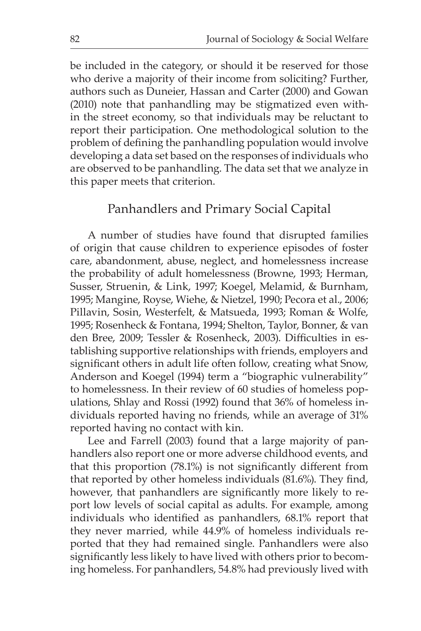be included in the category, or should it be reserved for those who derive a majority of their income from soliciting? Further, authors such as Duneier, Hassan and Carter (2000) and Gowan (2010) note that panhandling may be stigmatized even within the street economy, so that individuals may be reluctant to report their participation. One methodological solution to the problem of defining the panhandling population would involve developing a data set based on the responses of individuals who are observed to be panhandling. The data set that we analyze in this paper meets that criterion.

### Panhandlers and Primary Social Capital

A number of studies have found that disrupted families of origin that cause children to experience episodes of foster care, abandonment, abuse, neglect, and homelessness increase the probability of adult homelessness (Browne, 1993; Herman, Susser, Struenin, & Link, 1997; Koegel, Melamid, & Burnham, 1995; Mangine, Royse, Wiehe, & Nietzel, 1990; Pecora et al., 2006; Pillavin, Sosin, Westerfelt, & Matsueda, 1993; Roman & Wolfe, 1995; Rosenheck & Fontana, 1994; Shelton, Taylor, Bonner, & van den Bree, 2009; Tessler & Rosenheck, 2003). Difficulties in establishing supportive relationships with friends, employers and significant others in adult life often follow, creating what Snow, Anderson and Koegel (1994) term a "biographic vulnerability" to homelessness. In their review of 60 studies of homeless populations, Shlay and Rossi (1992) found that 36% of homeless individuals reported having no friends, while an average of 31% reported having no contact with kin.

Lee and Farrell (2003) found that a large majority of panhandlers also report one or more adverse childhood events, and that this proportion (78.1%) is not significantly different from that reported by other homeless individuals (81.6%). They find, however, that panhandlers are significantly more likely to report low levels of social capital as adults. For example, among individuals who identified as panhandlers, 68.1% report that they never married, while 44.9% of homeless individuals reported that they had remained single. Panhandlers were also significantly less likely to have lived with others prior to becoming homeless. For panhandlers, 54.8% had previously lived with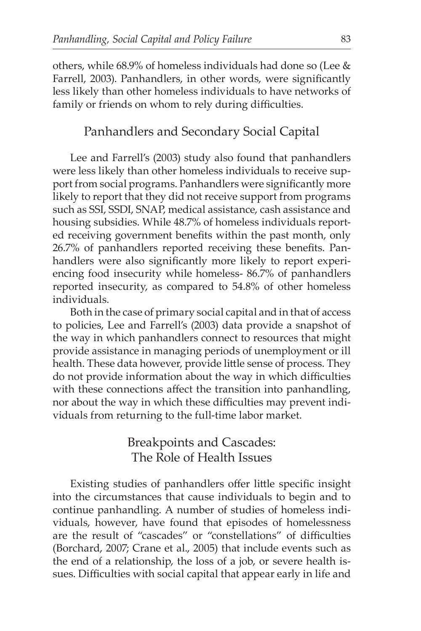others, while 68.9% of homeless individuals had done so (Lee & Farrell, 2003). Panhandlers, in other words, were significantly less likely than other homeless individuals to have networks of family or friends on whom to rely during difficulties.

# Panhandlers and Secondary Social Capital

Lee and Farrell's (2003) study also found that panhandlers were less likely than other homeless individuals to receive support from social programs. Panhandlers were significantly more likely to report that they did not receive support from programs such as SSI, SSDI, SNAP, medical assistance, cash assistance and housing subsidies. While 48.7% of homeless individuals reported receiving government benefits within the past month, only 26.7% of panhandlers reported receiving these benefits. Panhandlers were also significantly more likely to report experiencing food insecurity while homeless- 86.7% of panhandlers reported insecurity, as compared to 54.8% of other homeless individuals.

Both in the case of primary social capital and in that of access to policies, Lee and Farrell's (2003) data provide a snapshot of the way in which panhandlers connect to resources that might provide assistance in managing periods of unemployment or ill health. These data however, provide little sense of process. They do not provide information about the way in which difficulties with these connections affect the transition into panhandling, nor about the way in which these difficulties may prevent individuals from returning to the full-time labor market.

# Breakpoints and Cascades: The Role of Health Issues

Existing studies of panhandlers offer little specific insight into the circumstances that cause individuals to begin and to continue panhandling. A number of studies of homeless individuals, however, have found that episodes of homelessness are the result of "cascades" or "constellations" of difficulties (Borchard, 2007; Crane et al., 2005) that include events such as the end of a relationship, the loss of a job, or severe health issues. Difficulties with social capital that appear early in life and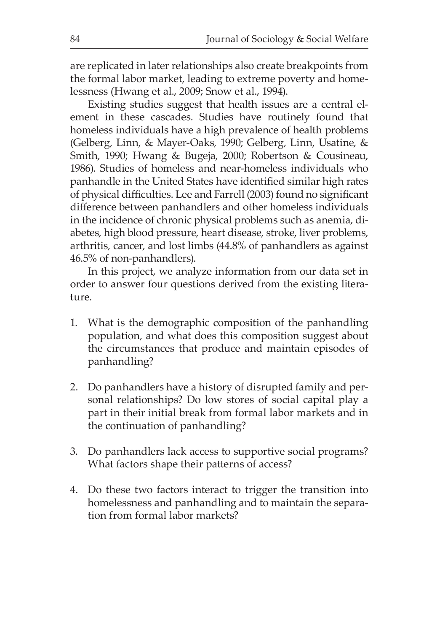are replicated in later relationships also create breakpoints from the formal labor market, leading to extreme poverty and homelessness (Hwang et al., 2009; Snow et al., 1994).

Existing studies suggest that health issues are a central element in these cascades. Studies have routinely found that homeless individuals have a high prevalence of health problems (Gelberg, Linn, & Mayer-Oaks, 1990; Gelberg, Linn, Usatine, & Smith, 1990; Hwang & Bugeja, 2000; Robertson & Cousineau, 1986). Studies of homeless and near-homeless individuals who panhandle in the United States have identified similar high rates of physical difficulties. Lee and Farrell (2003) found no significant difference between panhandlers and other homeless individuals in the incidence of chronic physical problems such as anemia, diabetes, high blood pressure, heart disease, stroke, liver problems, arthritis, cancer, and lost limbs (44.8% of panhandlers as against 46.5% of non-panhandlers).

In this project, we analyze information from our data set in order to answer four questions derived from the existing literature.

- 1. What is the demographic composition of the panhandling population, and what does this composition suggest about the circumstances that produce and maintain episodes of panhandling?
- 2. Do panhandlers have a history of disrupted family and personal relationships? Do low stores of social capital play a part in their initial break from formal labor markets and in the continuation of panhandling?
- 3. Do panhandlers lack access to supportive social programs? What factors shape their patterns of access?
- 4. Do these two factors interact to trigger the transition into homelessness and panhandling and to maintain the separation from formal labor markets?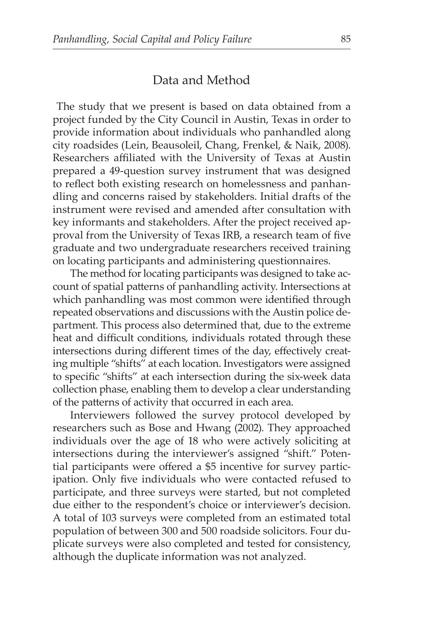### Data and Method

 The study that we present is based on data obtained from a project funded by the City Council in Austin, Texas in order to provide information about individuals who panhandled along city roadsides (Lein, Beausoleil, Chang, Frenkel, & Naik, 2008). Researchers affiliated with the University of Texas at Austin prepared a 49-question survey instrument that was designed to reflect both existing research on homelessness and panhandling and concerns raised by stakeholders. Initial drafts of the instrument were revised and amended after consultation with key informants and stakeholders. After the project received approval from the University of Texas IRB, a research team of five graduate and two undergraduate researchers received training on locating participants and administering questionnaires.

The method for locating participants was designed to take account of spatial patterns of panhandling activity. Intersections at which panhandling was most common were identified through repeated observations and discussions with the Austin police department. This process also determined that, due to the extreme heat and difficult conditions, individuals rotated through these intersections during different times of the day, effectively creating multiple "shifts" at each location. Investigators were assigned to specific "shifts" at each intersection during the six-week data collection phase, enabling them to develop a clear understanding of the patterns of activity that occurred in each area.

Interviewers followed the survey protocol developed by researchers such as Bose and Hwang (2002). They approached individuals over the age of 18 who were actively soliciting at intersections during the interviewer's assigned "shift." Potential participants were offered a \$5 incentive for survey participation. Only five individuals who were contacted refused to participate, and three surveys were started, but not completed due either to the respondent's choice or interviewer's decision. A total of 103 surveys were completed from an estimated total population of between 300 and 500 roadside solicitors. Four duplicate surveys were also completed and tested for consistency, although the duplicate information was not analyzed.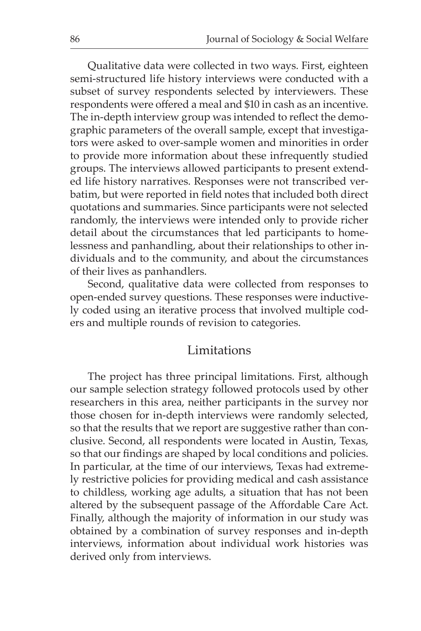Qualitative data were collected in two ways. First, eighteen semi-structured life history interviews were conducted with a subset of survey respondents selected by interviewers. These respondents were offered a meal and \$10 in cash as an incentive. The in-depth interview group was intended to reflect the demographic parameters of the overall sample, except that investigators were asked to over-sample women and minorities in order to provide more information about these infrequently studied groups. The interviews allowed participants to present extended life history narratives. Responses were not transcribed verbatim, but were reported in field notes that included both direct quotations and summaries. Since participants were not selected randomly, the interviews were intended only to provide richer detail about the circumstances that led participants to homelessness and panhandling, about their relationships to other individuals and to the community, and about the circumstances of their lives as panhandlers.

Second, qualitative data were collected from responses to open-ended survey questions. These responses were inductively coded using an iterative process that involved multiple coders and multiple rounds of revision to categories.

### **Limitations**

The project has three principal limitations. First, although our sample selection strategy followed protocols used by other researchers in this area, neither participants in the survey nor those chosen for in-depth interviews were randomly selected, so that the results that we report are suggestive rather than conclusive. Second, all respondents were located in Austin, Texas, so that our findings are shaped by local conditions and policies. In particular, at the time of our interviews, Texas had extremely restrictive policies for providing medical and cash assistance to childless, working age adults, a situation that has not been altered by the subsequent passage of the Affordable Care Act. Finally, although the majority of information in our study was obtained by a combination of survey responses and in-depth interviews, information about individual work histories was derived only from interviews.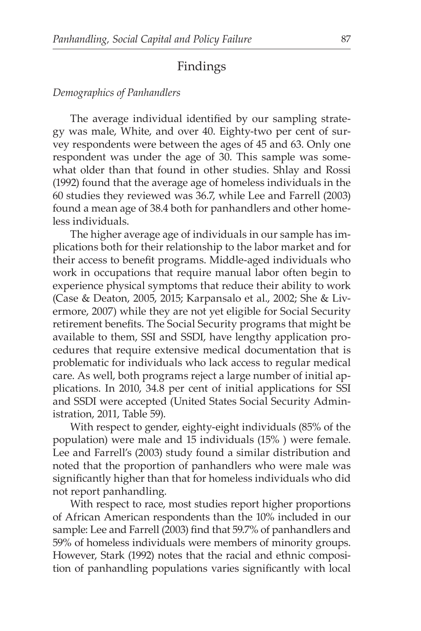# Findings

#### *Demographics of Panhandlers*

The average individual identified by our sampling strategy was male, White, and over 40. Eighty-two per cent of survey respondents were between the ages of 45 and 63. Only one respondent was under the age of 30. This sample was somewhat older than that found in other studies. Shlay and Rossi (1992) found that the average age of homeless individuals in the 60 studies they reviewed was 36.7, while Lee and Farrell (2003) found a mean age of 38.4 both for panhandlers and other homeless individuals.

The higher average age of individuals in our sample has implications both for their relationship to the labor market and for their access to benefit programs. Middle-aged individuals who work in occupations that require manual labor often begin to experience physical symptoms that reduce their ability to work (Case & Deaton, 2005, 2015; Karpansalo et al., 2002; She & Livermore, 2007) while they are not yet eligible for Social Security retirement benefits. The Social Security programs that might be available to them, SSI and SSDI, have lengthy application procedures that require extensive medical documentation that is problematic for individuals who lack access to regular medical care. As well, both programs reject a large number of initial applications. In 2010, 34.8 per cent of initial applications for SSI and SSDI were accepted (United States Social Security Administration, 2011, Table 59).

With respect to gender, eighty-eight individuals (85% of the population) were male and 15 individuals (15% ) were female. Lee and Farrell's (2003) study found a similar distribution and noted that the proportion of panhandlers who were male was significantly higher than that for homeless individuals who did not report panhandling.

With respect to race, most studies report higher proportions of African American respondents than the 10% included in our sample: Lee and Farrell (2003) find that 59.7% of panhandlers and 59% of homeless individuals were members of minority groups. However, Stark (1992) notes that the racial and ethnic composition of panhandling populations varies significantly with local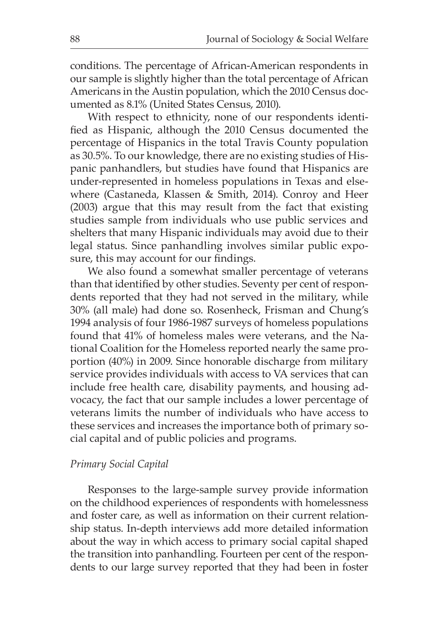conditions. The percentage of African-American respondents in our sample is slightly higher than the total percentage of African Americans in the Austin population, which the 2010 Census documented as 8.1% (United States Census, 2010).

With respect to ethnicity, none of our respondents identified as Hispanic, although the 2010 Census documented the percentage of Hispanics in the total Travis County population as 30.5%. To our knowledge, there are no existing studies of Hispanic panhandlers, but studies have found that Hispanics are under-represented in homeless populations in Texas and elsewhere (Castaneda, Klassen & Smith, 2014). Conroy and Heer (2003) argue that this may result from the fact that existing studies sample from individuals who use public services and shelters that many Hispanic individuals may avoid due to their legal status. Since panhandling involves similar public exposure, this may account for our findings.

We also found a somewhat smaller percentage of veterans than that identified by other studies. Seventy per cent of respondents reported that they had not served in the military, while 30% (all male) had done so. Rosenheck, Frisman and Chung's 1994 analysis of four 1986-1987 surveys of homeless populations found that 41% of homeless males were veterans, and the National Coalition for the Homeless reported nearly the same proportion (40%) in 2009. Since honorable discharge from military service provides individuals with access to VA services that can include free health care, disability payments, and housing advocacy, the fact that our sample includes a lower percentage of veterans limits the number of individuals who have access to these services and increases the importance both of primary social capital and of public policies and programs.

#### *Primary Social Capital*

Responses to the large-sample survey provide information on the childhood experiences of respondents with homelessness and foster care, as well as information on their current relationship status. In-depth interviews add more detailed information about the way in which access to primary social capital shaped the transition into panhandling. Fourteen per cent of the respondents to our large survey reported that they had been in foster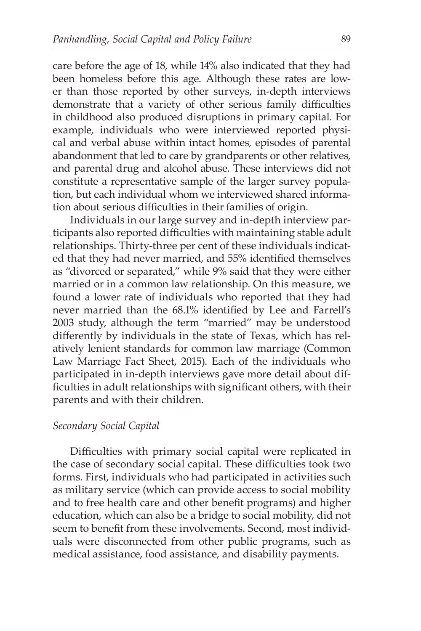care before the age of 18, while 14% also indicated that they had been homeless before this age. Although these rates are lower than those reported by other surveys, in-depth interviews demonstrate that a variety of other serious family difficulties in childhood also produced disruptions in primary capital. For example, individuals who were interviewed reported physical and verbal abuse within intact homes, episodes of parental abandonment that led to care by grandparents or other relatives, and parental drug and alcohol abuse. These interviews did not constitute a representative sample of the larger survey population, but each individual whom we interviewed shared information about serious difficulties in their families of origin.

Individuals in our large survey and in-depth interview participants also reported difficulties with maintaining stable adult relationships. Thirty-three per cent of these individuals indicated that they had never married, and 55% identified themselves as "divorced or separated," while 9% said that they were either married or in a common law relationship. On this measure, we found a lower rate of individuals who reported that they had never married than the 68.1% identified by Lee and Farrell's 2003 study, although the term "married" may be understood differently by individuals in the state of Texas, which has relatively lenient standards for common law marriage (Common Law Marriage Fact Sheet, 2015). Each of the individuals who participated in in-depth interviews gave more detail about difficulties in adult relationships with significant others, with their parents and with their children.

#### *Secondary Social Capital*

Difficulties with primary social capital were replicated in the case of secondary social capital. These difficulties took two forms. First, individuals who had participated in activities such as military service (which can provide access to social mobility and to free health care and other benefit programs) and higher education, which can also be a bridge to social mobility, did not seem to benefit from these involvements. Second, most individuals were disconnected from other public programs, such as medical assistance, food assistance, and disability payments.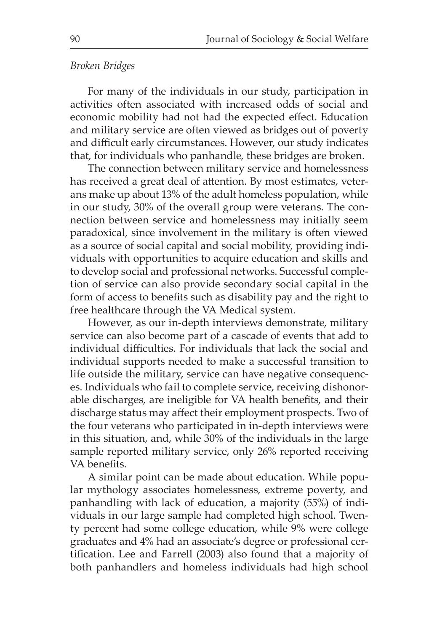#### *Broken Bridges*

For many of the individuals in our study, participation in activities often associated with increased odds of social and economic mobility had not had the expected effect. Education and military service are often viewed as bridges out of poverty and difficult early circumstances. However, our study indicates that, for individuals who panhandle, these bridges are broken.

The connection between military service and homelessness has received a great deal of attention. By most estimates, veterans make up about 13% of the adult homeless population, while in our study, 30% of the overall group were veterans. The connection between service and homelessness may initially seem paradoxical, since involvement in the military is often viewed as a source of social capital and social mobility, providing individuals with opportunities to acquire education and skills and to develop social and professional networks. Successful completion of service can also provide secondary social capital in the form of access to benefits such as disability pay and the right to free healthcare through the VA Medical system.

However, as our in-depth interviews demonstrate, military service can also become part of a cascade of events that add to individual difficulties. For individuals that lack the social and individual supports needed to make a successful transition to life outside the military, service can have negative consequences. Individuals who fail to complete service, receiving dishonorable discharges, are ineligible for VA health benefits, and their discharge status may affect their employment prospects. Two of the four veterans who participated in in-depth interviews were in this situation, and, while 30% of the individuals in the large sample reported military service, only 26% reported receiving VA benefits.

A similar point can be made about education. While popular mythology associates homelessness, extreme poverty, and panhandling with lack of education, a majority (55%) of individuals in our large sample had completed high school. Twenty percent had some college education, while 9% were college graduates and 4% had an associate's degree or professional certification. Lee and Farrell (2003) also found that a majority of both panhandlers and homeless individuals had high school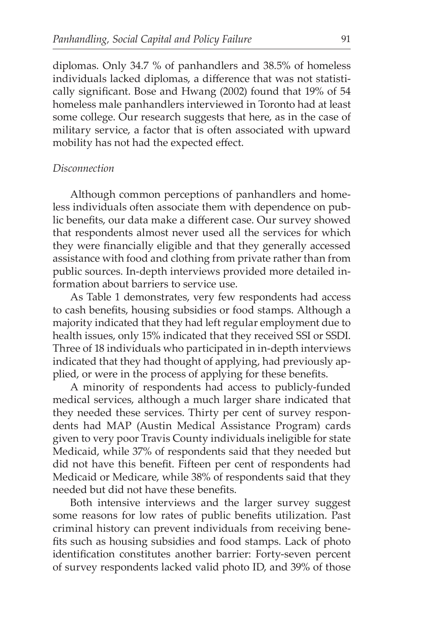diplomas. Only 34.7 % of panhandlers and 38.5% of homeless individuals lacked diplomas, a difference that was not statistically significant. Bose and Hwang (2002) found that 19% of 54 homeless male panhandlers interviewed in Toronto had at least some college. Our research suggests that here, as in the case of military service, a factor that is often associated with upward mobility has not had the expected effect.

#### *Disconnection*

Although common perceptions of panhandlers and homeless individuals often associate them with dependence on public benefits, our data make a different case. Our survey showed that respondents almost never used all the services for which they were financially eligible and that they generally accessed assistance with food and clothing from private rather than from public sources. In-depth interviews provided more detailed information about barriers to service use.

As Table 1 demonstrates, very few respondents had access to cash benefits, housing subsidies or food stamps. Although a majority indicated that they had left regular employment due to health issues, only 15% indicated that they received SSI or SSDI. Three of 18 individuals who participated in in-depth interviews indicated that they had thought of applying, had previously applied, or were in the process of applying for these benefits.

A minority of respondents had access to publicly-funded medical services, although a much larger share indicated that they needed these services. Thirty per cent of survey respondents had MAP (Austin Medical Assistance Program) cards given to very poor Travis County individuals ineligible for state Medicaid, while 37% of respondents said that they needed but did not have this benefit. Fifteen per cent of respondents had Medicaid or Medicare, while 38% of respondents said that they needed but did not have these benefits.

Both intensive interviews and the larger survey suggest some reasons for low rates of public benefits utilization. Past criminal history can prevent individuals from receiving benefits such as housing subsidies and food stamps. Lack of photo identification constitutes another barrier: Forty-seven percent of survey respondents lacked valid photo ID, and 39% of those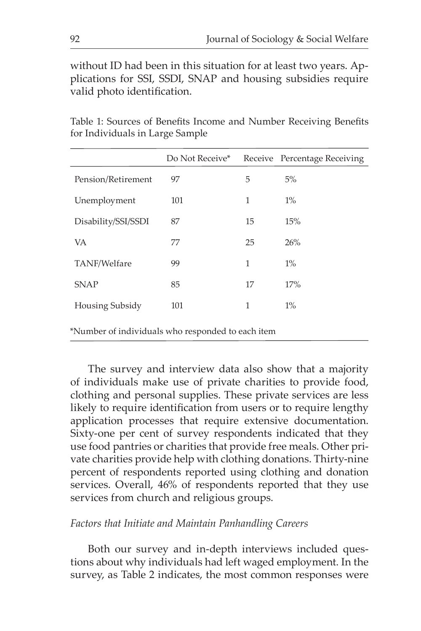without ID had been in this situation for at least two years. Applications for SSI, SSDI, SNAP and housing subsidies require valid photo identification.

|                     | Do Not Receive* |    | Receive Percentage Receiving |
|---------------------|-----------------|----|------------------------------|
| Pension/Retirement  | 97              | 5  | 5%                           |
| Unemployment        | 101             | 1  | $1\%$                        |
| Disability/SSI/SSDI | 87              | 15 | 15%                          |
| VA                  | 77              | 25 | 26%                          |
| TANF/Welfare        | 99              | 1  | $1\%$                        |
| <b>SNAP</b>         | 85              | 17 | 17%                          |
| Housing Subsidy     | 101             | 1  | $1\%$                        |
|                     |                 |    |                              |

Table 1: Sources of Benefits Income and Number Receiving Benefits for Individuals in Large Sample

\*Number of individuals who responded to each item

The survey and interview data also show that a majority of individuals make use of private charities to provide food, clothing and personal supplies. These private services are less likely to require identification from users or to require lengthy application processes that require extensive documentation. Sixty-one per cent of survey respondents indicated that they use food pantries or charities that provide free meals. Other private charities provide help with clothing donations. Thirty-nine percent of respondents reported using clothing and donation services. Overall, 46% of respondents reported that they use services from church and religious groups.

#### *Factors that Initiate and Maintain Panhandling Careers*

Both our survey and in-depth interviews included questions about why individuals had left waged employment. In the survey, as Table 2 indicates, the most common responses were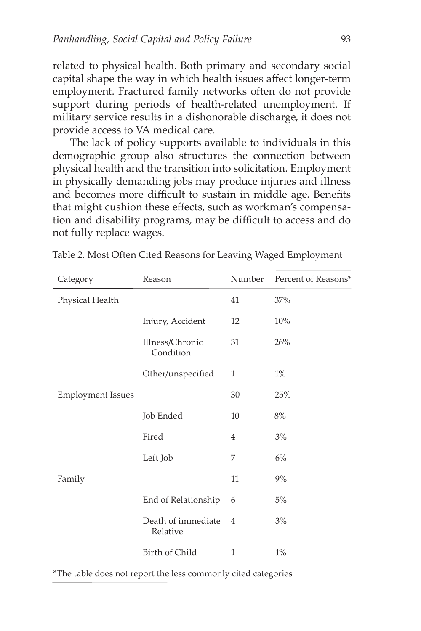related to physical health. Both primary and secondary social capital shape the way in which health issues affect longer-term employment. Fractured family networks often do not provide support during periods of health-related unemployment. If military service results in a dishonorable discharge, it does not provide access to VA medical care.

The lack of policy supports available to individuals in this demographic group also structures the connection between physical health and the transition into solicitation. Employment in physically demanding jobs may produce injuries and illness and becomes more difficult to sustain in middle age. Benefits that might cushion these effects, such as workman's compensation and disability programs, may be difficult to access and do not fully replace wages.

| Category                 | Reason                         | Number       | Percent of Reasons* |
|--------------------------|--------------------------------|--------------|---------------------|
| Physical Health          |                                | 41           | 37%                 |
|                          | Injury, Accident               | 12           | 10%                 |
|                          | Illness/Chronic<br>Condition   | 31           | 26%                 |
|                          | Other/unspecified              | $\mathbf{1}$ | $1\%$               |
| <b>Employment Issues</b> |                                | 30           | 25%                 |
|                          | Job Ended                      | 10           | 8%                  |
|                          | Fired                          | 4            | 3%                  |
|                          | Left Job                       | 7            | 6%                  |
| Family                   |                                | 11           | 9%                  |
|                          | End of Relationship            | 6            | 5%                  |
|                          | Death of immediate<br>Relative | 4            | 3%                  |
|                          | Birth of Child                 | $\mathbf{1}$ | $1\%$               |

Table 2. Most Often Cited Reasons for Leaving Waged Employment

\*The table does not report the less commonly cited categories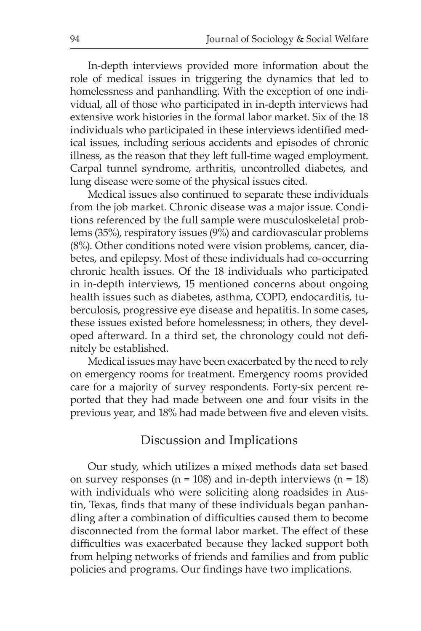In-depth interviews provided more information about the role of medical issues in triggering the dynamics that led to homelessness and panhandling. With the exception of one individual, all of those who participated in in-depth interviews had extensive work histories in the formal labor market. Six of the 18 individuals who participated in these interviews identified medical issues, including serious accidents and episodes of chronic illness, as the reason that they left full-time waged employment. Carpal tunnel syndrome, arthritis, uncontrolled diabetes, and lung disease were some of the physical issues cited.

Medical issues also continued to separate these individuals from the job market. Chronic disease was a major issue. Conditions referenced by the full sample were musculoskeletal problems (35%), respiratory issues (9%) and cardiovascular problems (8%). Other conditions noted were vision problems, cancer, diabetes, and epilepsy. Most of these individuals had co-occurring chronic health issues. Of the 18 individuals who participated in in-depth interviews, 15 mentioned concerns about ongoing health issues such as diabetes, asthma, COPD, endocarditis, tuberculosis, progressive eye disease and hepatitis. In some cases, these issues existed before homelessness; in others, they developed afterward. In a third set, the chronology could not definitely be established.

Medical issues may have been exacerbated by the need to rely on emergency rooms for treatment. Emergency rooms provided care for a majority of survey respondents. Forty-six percent reported that they had made between one and four visits in the previous year, and 18% had made between five and eleven visits.

## Discussion and Implications

Our study, which utilizes a mixed methods data set based on survey responses ( $n = 108$ ) and in-depth interviews ( $n = 18$ ) with individuals who were soliciting along roadsides in Austin, Texas, finds that many of these individuals began panhandling after a combination of difficulties caused them to become disconnected from the formal labor market. The effect of these difficulties was exacerbated because they lacked support both from helping networks of friends and families and from public policies and programs. Our findings have two implications.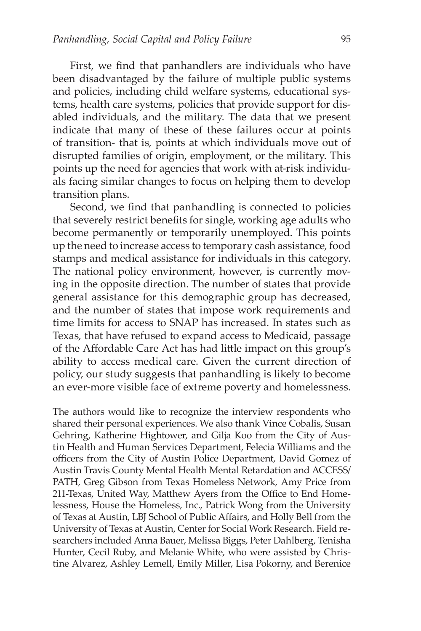First, we find that panhandlers are individuals who have been disadvantaged by the failure of multiple public systems and policies, including child welfare systems, educational systems, health care systems, policies that provide support for disabled individuals, and the military. The data that we present indicate that many of these of these failures occur at points of transition- that is, points at which individuals move out of disrupted families of origin, employment, or the military. This points up the need for agencies that work with at-risk individuals facing similar changes to focus on helping them to develop transition plans.

Second, we find that panhandling is connected to policies that severely restrict benefits for single, working age adults who become permanently or temporarily unemployed. This points up the need to increase access to temporary cash assistance, food stamps and medical assistance for individuals in this category. The national policy environment, however, is currently moving in the opposite direction. The number of states that provide general assistance for this demographic group has decreased, and the number of states that impose work requirements and time limits for access to SNAP has increased. In states such as Texas, that have refused to expand access to Medicaid, passage of the Affordable Care Act has had little impact on this group's ability to access medical care. Given the current direction of policy, our study suggests that panhandling is likely to become an ever-more visible face of extreme poverty and homelessness.

The authors would like to recognize the interview respondents who shared their personal experiences. We also thank Vince Cobalis, Susan Gehring, Katherine Hightower, and Gilja Koo from the City of Austin Health and Human Services Department, Felecia Williams and the officers from the City of Austin Police Department, David Gomez of Austin Travis County Mental Health Mental Retardation and ACCESS/ PATH, Greg Gibson from Texas Homeless Network, Amy Price from 211-Texas, United Way, Matthew Ayers from the Office to End Homelessness, House the Homeless, Inc., Patrick Wong from the University of Texas at Austin, LBJ School of Public Affairs, and Holly Bell from the University of Texas at Austin, Center for Social Work Research. Field researchers included Anna Bauer, Melissa Biggs, Peter Dahlberg, Tenisha Hunter, Cecil Ruby, and Melanie White, who were assisted by Christine Alvarez, Ashley Lemell, Emily Miller, Lisa Pokorny, and Berenice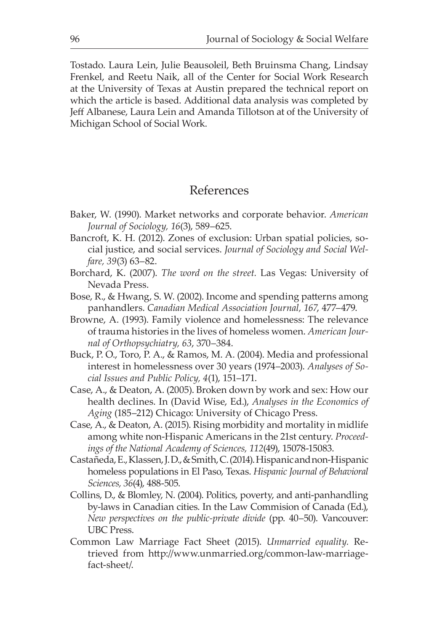Tostado. Laura Lein, Julie Beausoleil, Beth Bruinsma Chang, Lindsay Frenkel, and Reetu Naik, all of the Center for Social Work Research at the University of Texas at Austin prepared the technical report on which the article is based. Additional data analysis was completed by Jeff Albanese, Laura Lein and Amanda Tillotson at of the University of Michigan School of Social Work.

# References

- Baker, W. (1990). Market networks and corporate behavior. *American Journal of Sociology, 16*(3), 589–625.
- Bancroft, K. H. (2012). Zones of exclusion: Urban spatial policies, social justice, and social services. *Journal of Sociology and Social Welfare, 39*(3) 63–82.
- Borchard, K. (2007). *The word on the street.* Las Vegas: University of Nevada Press.
- Bose, R., & Hwang, S. W. (2002). Income and spending patterns among panhandlers. *Canadian Medical Association Journal, 167*, 477–479.
- Browne, A. (1993). Family violence and homelessness: The relevance of trauma histories in the lives of homeless women. *American Journal of Orthopsychiatry, 63*, 370–384.
- Buck, P. O., Toro, P. A., & Ramos, M. A. (2004). Media and professional interest in homelessness over 30 years (1974–2003). *Analyses of Social Issues and Public Policy, 4*(1), 151–171.
- Case, A., & Deaton, A. (2005). Broken down by work and sex: How our health declines. In (David Wise, Ed.), *Analyses in the Economics of Aging* (185–212) Chicago: University of Chicago Press.
- Case, A., & Deaton, A. (2015). Rising morbidity and mortality in midlife among white non-Hispanic Americans in the 21st century. *Proceedings of the National Academy of Sciences, 112*(49), 15078-15083.
- Castañeda, E., Klassen, J. D., & Smith, C. (2014). Hispanic and non-Hispanic homeless populations in El Paso, Texas. *Hispanic Journal of Behavioral Sciences, 36*(4), 488-505.
- Collins, D., & Blomley, N. (2004). Politics, poverty, and anti-panhandling by-laws in Canadian cities. In the Law Commision of Canada (Ed.), *New perspectives on the public-private divide* (pp. 40–50). Vancouver: UBC Press.
- Common Law Marriage Fact Sheet (2015). *Unmarried equality.* Retrieved from http://www.unmarried.org/common-law-marriagefact-sheet/.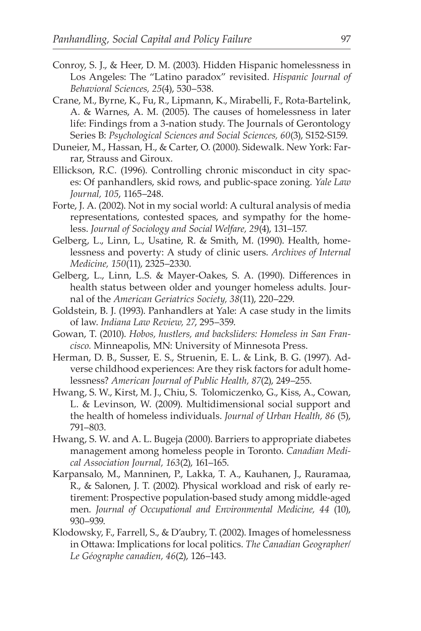- Conroy, S. J., & Heer, D. M. (2003). Hidden Hispanic homelessness in Los Angeles: The "Latino paradox" revisited. *Hispanic Journal of Behavioral Sciences, 25*(4), 530–538.
- Crane, M., Byrne, K., Fu, R., Lipmann, K., Mirabelli, F., Rota-Bartelink, A. & Warnes, A. M. (2005). The causes of homelessness in later life: Findings from a 3-nation study. The Journals of Gerontology Series B: *Psychological Sciences and Social Sciences, 60*(3), S152-S159.
- Duneier, M., Hassan, H., & Carter, O. (2000). Sidewalk. New York: Farrar, Strauss and Giroux.
- Ellickson, R.C. (1996). Controlling chronic misconduct in city spaces: Of panhandlers, skid rows, and public-space zoning. *Yale Law Journal, 105*, 1165–248.
- Forte, J. A. (2002). Not in my social world: A cultural analysis of media representations, contested spaces, and sympathy for the homeless. *Journal of Sociology and Social Welfare, 29*(4), 131–157.
- Gelberg, L., Linn, L., Usatine, R. & Smith, M. (1990). Health, homelessness and poverty: A study of clinic users. *Archives of Internal Medicine, 150*(11), 2325–2330.
- Gelberg, L., Linn, L.S. & Mayer-Oakes, S. A. (1990). Differences in health status between older and younger homeless adults. Journal of the *American Geriatrics Society, 38*(11), 220–229.
- Goldstein, B. J. (1993). Panhandlers at Yale: A case study in the limits of law. *Indiana Law Review, 27*, 295–359.
- Gowan, T. (2010). *Hobos, hustlers, and backsliders: Homeless in San Francisco.* Minneapolis, MN: University of Minnesota Press.
- Herman, D. B., Susser, E. S., Struenin, E. L. & Link, B. G. (1997). Adverse childhood experiences: Are they risk factors for adult homelessness? *American Journal of Public Health, 87*(2), 249–255.
- Hwang, S. W., Kirst, M. J., Chiu, S. Tolomiczenko, G., Kiss, A., Cowan, L. & Levinson, W. (2009). Multidimensional social support and the health of homeless individuals. *Journal of Urban Health, 86* (5), 791–803.
- Hwang, S. W. and A. L. Bugeja (2000). Barriers to appropriate diabetes management among homeless people in Toronto. *Canadian Medical Association Journal, 163*(2), 161–165.
- Karpansalo, M., Manninen, P., Lakka, T. A., Kauhanen, J., Rauramaa, R., & Salonen, J. T. (2002). Physical workload and risk of early retirement: Prospective population-based study among middle-aged men. *Journal of Occupational and Environmental Medicine, 44* (10), 930–939.
- Klodowsky, F., Farrell, S., & D'aubry, T. (2002). Images of homelessness in Ottawa: Implications for local politics. *The Canadian Geographer/ Le Géographe canadien, 46*(2), 126–143.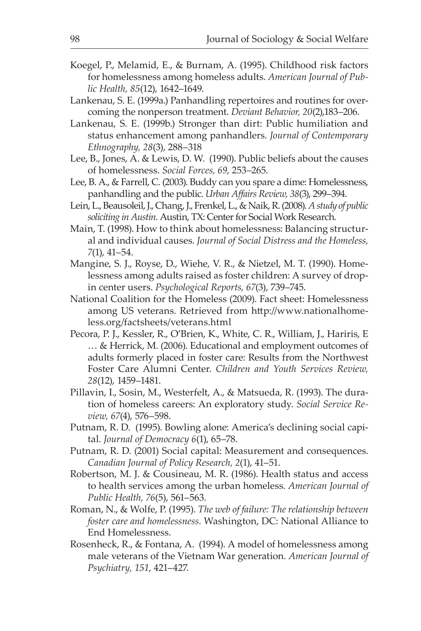- Koegel, P., Melamid, E., & Burnam, A. (1995). Childhood risk factors for homelessness among homeless adults. *American Journal of Public Health, 85*(12), 1642–1649.
- Lankenau, S. E. (1999a.) Panhandling repertoires and routines for overcoming the nonperson treatment. *Deviant Behavior, 20*(2),183–206.
- Lankenau, S. E. (1999b.) Stronger than dirt: Public humiliation and status enhancement among panhandlers. *Journal of Contemporary Ethnography, 28*(3), 288–318
- Lee, B., Jones, A. & Lewis, D. W. (1990). Public beliefs about the causes of homelessness. *Social Forces, 69*, 253–265.
- Lee, B. A., & Farrell, C. (2003). Buddy can you spare a dime: Homelessness, panhandling and the public. *Urban Affairs Review, 38*(3), 299–394.
- Lein, L., Beausoleil, J., Chang, J., Frenkel, L., & Naik, R. (2008). *A study of public soliciting in Austin.* Austin, TX: Center for Social Work Research.
- Main, T. (1998). How to think about homelessness: Balancing structural and individual causes. *Journal of Social Distress and the Homeless, 7*(1), 41–54.
- Mangine, S. J., Royse, D., Wiehe, V. R., & Nietzel, M. T. (1990). Homelessness among adults raised as foster children: A survey of dropin center users. *Psychological Reports, 67*(3), 739–745.
- National Coalition for the Homeless (2009). Fact sheet: Homelessness among US veterans. Retrieved from http://www.nationalhomeless.org/factsheets/veterans.html
- Pecora, P. J., Kessler, R., O'Brien, K., White, C. R., William, J., Hariris, E … & Herrick, M. (2006). Educational and employment outcomes of adults formerly placed in foster care: Results from the Northwest Foster Care Alumni Center. *Children and Youth Services Review, 28*(12), 1459–1481.
- Pillavin, I., Sosin, M., Westerfelt, A., & Matsueda, R. (1993). The duration of homeless careers: An exploratory study. *Social Service Review, 67*(4), 576–598.
- Putnam, R. D. (1995). Bowling alone: America's declining social capital. *Journal of Democracy 6*(1), 65–78.
- Putnam, R. D. (2001) Social capital: Measurement and consequences. *Canadian Journal of Policy Research, 2*(1), 41–51.
- Robertson, M. J. & Cousineau, M. R. (1986). Health status and access to health services among the urban homeless. *American Journal of Public Health, 76*(5), 561–563.
- Roman, N., & Wolfe, P. (1995). *The web of failure: The relationship between foster care and homelessness.* Washington, DC: National Alliance to End Homelessness.
- Rosenheck, R., & Fontana, A. (1994). A model of homelessness among male veterans of the Vietnam War generation. *American Journal of Psychiatry, 151*, 421–427.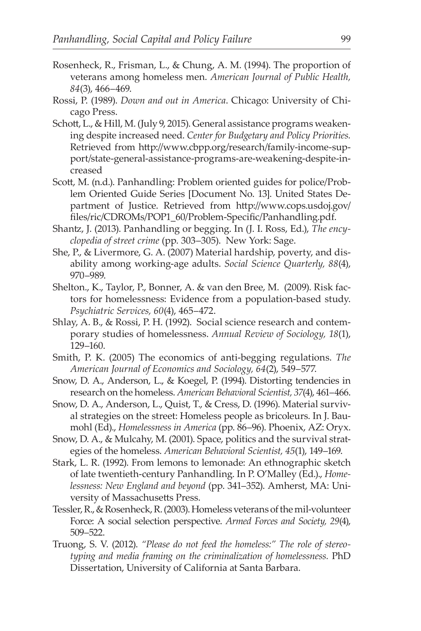- Rosenheck, R., Frisman, L., & Chung, A. M. (1994). The proportion of veterans among homeless men. *American Journal of Public Health, 84*(3), 466–469.
- Rossi, P. (1989). *Down and out in America*. Chicago: University of Chicago Press.
- Schott, L., & Hill, M. (July 9, 2015). General assistance programs weakening despite increased need. *Center for Budgetary and Policy Priorities.* Retrieved from http://www.cbpp.org/research/family-income-support/state-general-assistance-programs-are-weakening-despite-increased
- Scott, M. (n.d.). Panhandling: Problem oriented guides for police/Problem Oriented Guide Series [Document No. 13]. United States Department of Justice. Retrieved from http://www.cops.usdoj.gov/ files/ric/CDROMs/POP1\_60/Problem-Specific/Panhandling.pdf.
- Shantz, J. (2013). Panhandling or begging. In (J. I. Ross, Ed.), *The encyclopedia of street crime* (pp. 303–305). New York: Sage.
- She, P., & Livermore, G. A. (2007) Material hardship, poverty, and disability among working-age adults. *Social Science Quarterly, 88*(4), 970–989.
- Shelton., K., Taylor, P., Bonner, A. & van den Bree, M. (2009). Risk factors for homelessness: Evidence from a population-based study. *Psychiatric Services, 60*(4), 465–472.
- Shlay, A. B., & Rossi, P. H. (1992). Social science research and contemporary studies of homelessness. *Annual Review of Sociology, 18*(1), 129–160.
- Smith, P. K. (2005) The economics of anti-begging regulations. *The American Journal of Economics and Sociology, 64*(2), 549–577.
- Snow, D. A., Anderson, L., & Koegel, P. (1994). Distorting tendencies in research on the homeless. *American Behavioral Scientist, 37*(4), 461–466.
- Snow, D. A., Anderson, L., Quist, T., & Cress, D. (1996). Material survival strategies on the street: Homeless people as bricoleurs. In J. Baumohl (Ed)., *Homelessness in America* (pp. 86–96). Phoenix, AZ: Oryx.
- Snow, D. A., & Mulcahy, M. (2001). Space, politics and the survival strategies of the homeless. *American Behavioral Scientist, 45*(1), 149–169.
- Stark, L. R. (1992). From lemons to lemonade: An ethnographic sketch of late twentieth-century Panhandling. In P. O'Malley (Ed.)., *Homelessness: New England and beyond* (pp. 341–352). Amherst, MA: University of Massachusetts Press.
- Tessler, R., & Rosenheck, R. (2003). Homeless veterans of the mil-volunteer Force: A social selection perspective. *Armed Forces and Society, 29*(4), 509–522.
- Truong, S. V. (2012). *"Please do not feed the homeless:" The role of stereotyping and media framing on the criminalization of homelessness.* PhD Dissertation, University of California at Santa Barbara.